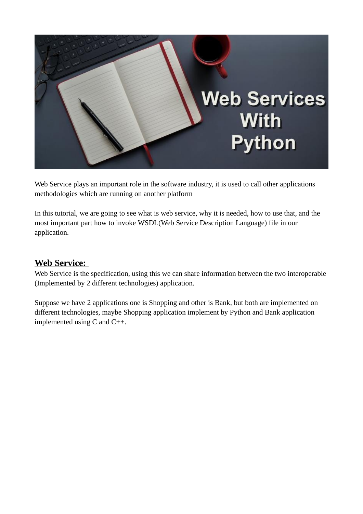

Web Service plays an important role in the software industry, it is used to call other applications methodologies which are running on another platform

In this tutorial, we are going to see what is web service, why it is needed, how to use that, and the most important part how to invoke WSDL(Web Service Description Language) file in our application.

# **Web Service:**

Web Service is the specification, using this we can share information between the two interoperable (Implemented by 2 different technologies) application.

Suppose we have 2 applications one is Shopping and other is Bank, but both are implemented on different technologies, maybe Shopping application implement by Python and Bank application implemented using C and C++.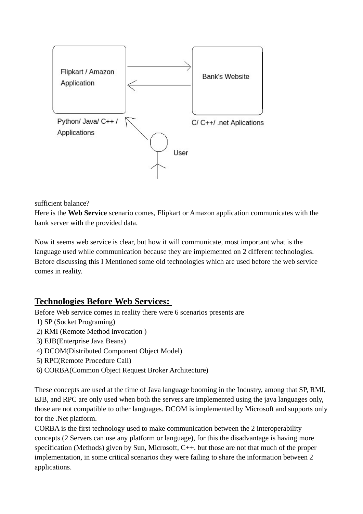

sufficient balance?

Here is the **Web Service** scenario comes, Flipkart or Amazon application communicates with the bank server with the provided data.

Now it seems web service is clear, but how it will communicate, most important what is the language used while communication because they are implemented on 2 different technologies. Before discussing this I Mentioned some old technologies which are used before the web service comes in reality.

# **Technologies Before Web Services:**

Before Web service comes in reality there were 6 scenarios presents are

- 1) SP (Socket Programing)
- 2) RMI (Remote Method invocation )
- 3) EJB(Enterprise Java Beans)
- 4) DCOM(Distributed Component Object Model)
- 5) RPC(Remote Procedure Call)
- 6) CORBA(Common Object Request Broker Architecture)

These concepts are used at the time of Java language booming in the Industry, among that SP, RMI, EJB, and RPC are only used when both the servers are implemented using the java languages only, those are not compatible to other languages. DCOM is implemented by Microsoft and supports only for the .Net platform.

CORBA is the first technology used to make communication between the 2 interoperability concepts (2 Servers can use any platform or language), for this the disadvantage is having more specification (Methods) given by Sun, Microsoft, C++. but those are not that much of the proper implementation, in some critical scenarios they were failing to share the information between 2 applications.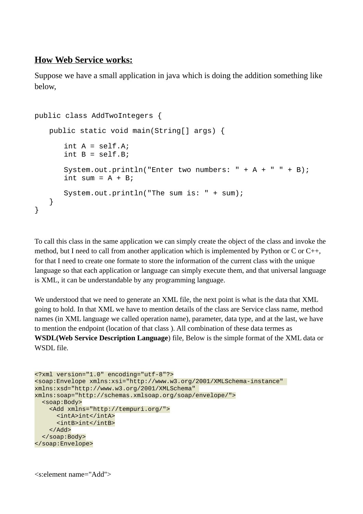# **How Web Service works:**

Suppose we have a small application in java which is doing the addition something like below,

```
public class AddTwoIntegers {
    public static void main(String[] args) {
       int A = self.A;
       int B = self.B;System.out.println("Enter two numbers: " + A + " " + B);int sum = A + B;
       System.out.println("The sum is: " + sum);
    }
}
```
To call this class in the same application we can simply create the object of the class and invoke the method, but I need to call from another application which is implemented by Python or C or C++, for that I need to create one formate to store the information of the current class with the unique language so that each application or language can simply execute them, and that universal language is XML, it can be understandable by any programming language.

We understood that we need to generate an XML file, the next point is what is the data that XML going to hold. In that XML we have to mention details of the class are Service class name, method names (in XML language we called operation name), parameter, data type, and at the last, we have to mention the endpoint (location of that class ). All combination of these data termes as **WSDL(Web Service Description Language**) file, Below is the simple format of the XML data or WSDL file.

```
<?xml version="1.0" encoding="utf-8"?>
<soap:Envelope xmlns:xsi="http://www.w3.org/2001/XMLSchema-instance" 
xmlns:xsd="http://www.w3.org/2001/XMLSchema" 
xmlns:soap="http://schemas.xmlsoap.org/soap/envelope/">
  <soap:Body>
     <Add xmlns="http://tempuri.org/">
       <intA>int</intA>
       <intB>int</intB>
     </Add>
  </soap:Body>
</soap:Envelope>
```

```
<s:element name="Add">
```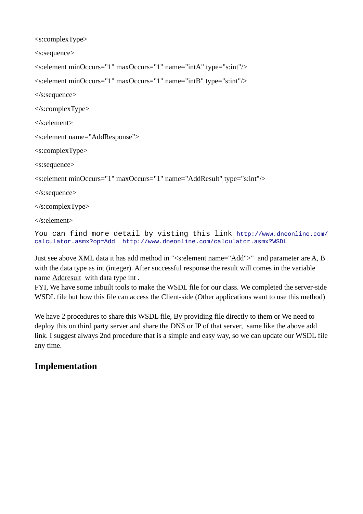```
<s:complexType>
```
<s:sequence>

```
<s:element minOccurs="1" maxOccurs="1" name="intA" type="s:int"/>
```

```
<s:element minOccurs="1" maxOccurs="1" name="intB" type="s:int"/>
```
</s:sequence>

</s:complexType>

</s:element>

<s:element name="AddResponse">

<s:complexType>

<s:sequence>

```
<s:element minOccurs="1" maxOccurs="1" name="AddResult" type="s:int"/>
```
</s:sequence>

</s:complexType>

</s:element>

You can find more detail by visting this link [http://www.dneonline.com/](http://www.dneonline.com/calculator.asmx?op=Add) [calculator.asmx?op=Add](http://www.dneonline.com/calculator.asmx?op=Add) <http://www.dneonline.com/calculator.asmx?WSDL>

Just see above XML data it has add method in "<s:element name="Add">" and parameter are A, B with the data type as int (integer). After successful response the result will comes in the variable name Addresult with data type int .

FYI, We have some inbuilt tools to make the WSDL file for our class. We completed the server-side WSDL file but how this file can access the Client-side (Other applications want to use this method)

We have 2 procedures to share this WSDL file, By providing file directly to them or We need to deploy this on third party server and share the DNS or IP of that server, same like the above add link. I suggest always 2nd procedure that is a simple and easy way, so we can update our WSDL file any time.

# **Implementation**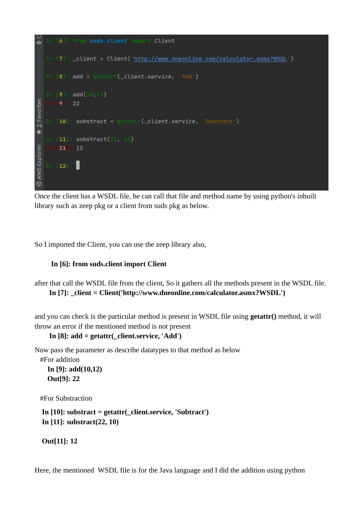```
In [6]: from suds.client import Client
   [7]: _client = Client('http://www.dneonline.com/calculator.asmx?WSDL')
  In [8]: add = getattr(_client.service, 'Add')
   In [9]: add(10, 12)★ 2: Favorites
       9
            22
   In [10]: substract = getattr(_client.service, 'Subtract')
   In [11]: substract(22, 10)& AWS Explorer
       |11|12In [12]: \blacksquare
```
Once the client has a WSDL file, he can call that file and method name by using python's inbuilt library such as zeep pkg or a client from suds pkg as below.

So I imported the Client, you can use the zeep library also,

#### **In [6]: from suds.client import Client**

after that call the WSDL file from the client, So it gathers all the methods present in the WSDL file. **In [7]: \_client = Client('http://www.dneonline.com/calculator.asmx?WSDL')**

and you can check is the particular method is present in WSDL file using **getattr()** method, it will throw an error if the mentioned method is not present

```
 In [8]: add = getattr(_client.service, 'Add')
```
Now pass the parameter as describe datatypes to that method as below

```
#For addition
  In [9]: add(10,12)
  Out[9]: 22
```
#For Substraction

```
In [10]: substract = getattr(_client.service, 'Subtract')
In [11]: substract(22, 10)
```
 **Out[11]: 12**

Here, the mentioned WSDL file is for the Java language and I did the addition using python